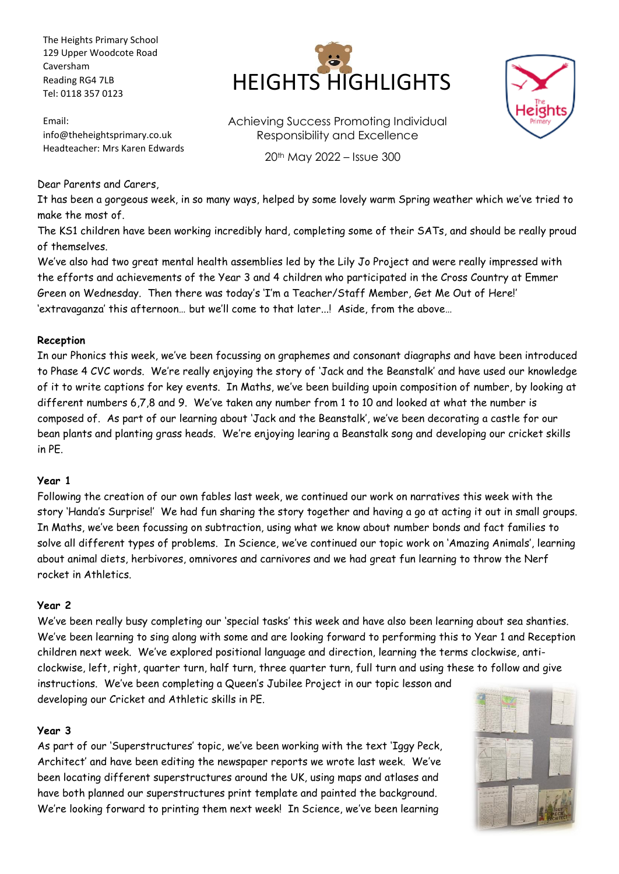The Heights Primary School 129 Upper Woodcote Road Caversham Reading RG4 7LB Tel: 0118 357 0123

Email: info@theheightsprimary.co.uk Headteacher: Mrs Karen Edwards



Achieving Success Promoting Individual Responsibility and Excellence

20th May 2022 – Issue 300



### Dear Parents and Carers,

It has been a gorgeous week, in so many ways, helped by some lovely warm Spring weather which we've tried to make the most of.

The KS1 children have been working incredibly hard, completing some of their SATs, and should be really proud of themselves.

We've also had two great mental health assemblies led by the Lily Jo Project and were really impressed with the efforts and achievements of the Year 3 and 4 children who participated in the Cross Country at Emmer Green on Wednesday. Then there was today's 'I'm a Teacher/Staff Member, Get Me Out of Here!' 'extravaganza' this afternoon… but we'll come to that later...! Aside, from the above…

### **Reception**

In our Phonics this week, we've been focussing on graphemes and consonant diagraphs and have been introduced to Phase 4 CVC words. We're really enjoying the story of 'Jack and the Beanstalk' and have used our knowledge of it to write captions for key events. In Maths, we've been building upoin composition of number, by looking at different numbers 6,7,8 and 9. We've taken any number from 1 to 10 and looked at what the number is composed of. As part of our learning about 'Jack and the Beanstalk', we've been decorating a castle for our bean plants and planting grass heads. We're enjoying learing a Beanstalk song and developing our cricket skills in PE.

#### **Year 1**

Following the creation of our own fables last week, we continued our work on narratives this week with the story 'Handa's Surprise!' We had fun sharing the story together and having a go at acting it out in small groups. In Maths, we've been focussing on subtraction, using what we know about number bonds and fact families to solve all different types of problems. In Science, we've continued our topic work on 'Amazing Animals', learning about animal diets, herbivores, omnivores and carnivores and we had great fun learning to throw the Nerf rocket in Athletics.

#### **Year 2**

We've been really busy completing our 'special tasks' this week and have also been learning about sea shanties. We've been learning to sing along with some and are looking forward to performing this to Year 1 and Reception children next week. We've explored positional language and direction, learning the terms clockwise, anticlockwise, left, right, quarter turn, half turn, three quarter turn, full turn and using these to follow and give instructions. We've been completing a Queen's Jubilee Project in our topic lesson and

developing our Cricket and Athletic skills in PE.

# **Year 3**

As part of our 'Superstructures' topic, we've been working with the text 'Iggy Peck, Architect' and have been editing the newspaper reports we wrote last week. We've been locating different superstructures around the UK, using maps and atlases and have both planned our superstructures print template and painted the background. We're looking forward to printing them next week! In Science, we've been learning

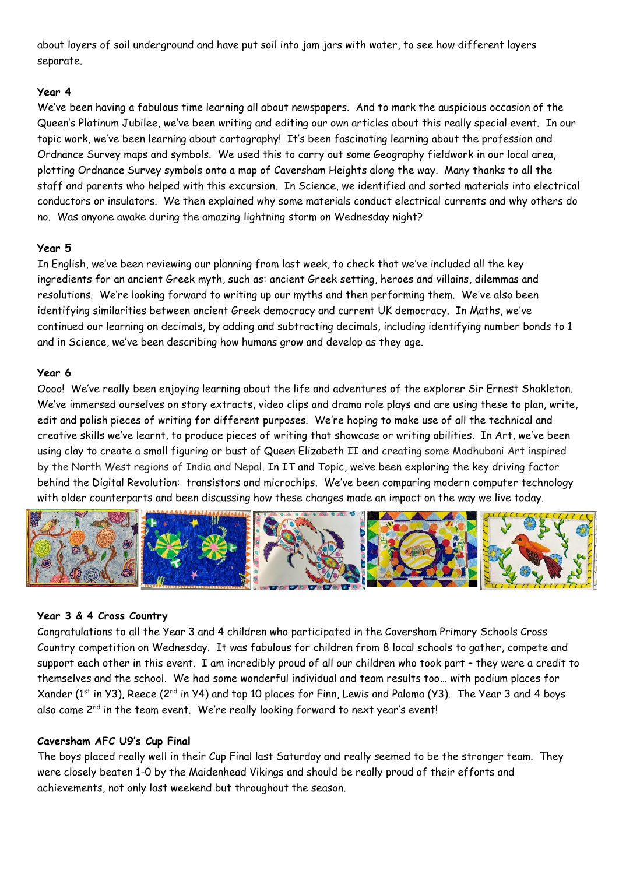about layers of soil underground and have put soil into jam jars with water, to see how different layers separate.

# **Year 4**

We've been having a fabulous time learning all about newspapers. And to mark the auspicious occasion of the Queen's Platinum Jubilee, we've been writing and editing our own articles about this really special event. In our topic work, we've been learning about cartography! It's been fascinating learning about the profession and Ordnance Survey maps and symbols. We used this to carry out some Geography fieldwork in our local area, plotting Ordnance Survey symbols onto a map of Caversham Heights along the way. Many thanks to all the staff and parents who helped with this excursion. In Science, we identified and sorted materials into electrical conductors or insulators. We then explained why some materials conduct electrical currents and why others do no. Was anyone awake during the amazing lightning storm on Wednesday night?

# **Year 5**

In English, we've been reviewing our planning from last week, to check that we've included all the key ingredients for an ancient Greek myth, such as: ancient Greek setting, heroes and villains, dilemmas and resolutions. We're looking forward to writing up our myths and then performing them. We've also been identifying similarities between ancient Greek democracy and current UK democracy. In Maths, we've continued our learning on decimals, by adding and subtracting decimals, including identifying number bonds to 1 and in Science, we've been describing how humans grow and develop as they age.

# **Year 6**

Oooo! We've really been enjoying learning about the life and adventures of the explorer Sir Ernest Shakleton. We've immersed ourselves on story extracts, video clips and drama role plays and are using these to plan, write, edit and polish pieces of writing for different purposes. We're hoping to make use of all the technical and creative skills we've learnt, to produce pieces of writing that showcase or writing abilities. In Art, we've been using clay to create a small figuring or bust of Queen Elizabeth II and creating some Madhubani Art inspired by the North West regions of India and Nepal. In IT and Topic, we've been exploring the key driving factor behind the Digital Revolution: transistors and microchips. We've been comparing modern computer technology with older counterparts and been discussing how these changes made an impact on the way we live today.



# **Year 3 & 4 Cross Country**

Congratulations to all the Year 3 and 4 children who participated in the Caversham Primary Schools Cross Country competition on Wednesday. It was fabulous for children from 8 local schools to gather, compete and support each other in this event. I am incredibly proud of all our children who took part – they were a credit to themselves and the school. We had some wonderful individual and team results too… with podium places for Xander (1<sup>st</sup> in Y3), Reece (2<sup>nd</sup> in Y4) and top 10 places for Finn, Lewis and Paloma (Y3). The Year 3 and 4 boys also came  $2^{nd}$  in the team event. We're really looking forward to next year's event!

# **Caversham AFC U9's Cup Final**

The boys placed really well in their Cup Final last Saturday and really seemed to be the stronger team. They were closely beaten 1-0 by the Maidenhead Vikings and should be really proud of their efforts and achievements, not only last weekend but throughout the season.